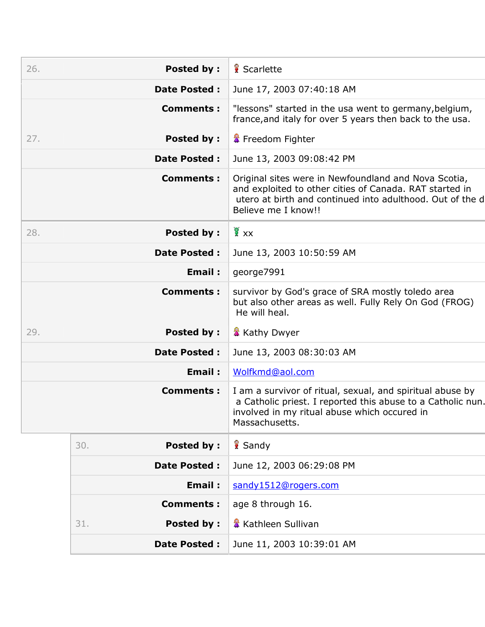| 26. | <b>Posted by:</b>        | Scarlette                                                                                                                                                                                           |
|-----|--------------------------|-----------------------------------------------------------------------------------------------------------------------------------------------------------------------------------------------------|
|     | <b>Date Posted:</b>      | June 17, 2003 07:40:18 AM                                                                                                                                                                           |
|     | <b>Comments:</b>         | "lessons" started in the usa went to germany, belgium,<br>france, and italy for over 5 years then back to the usa.                                                                                  |
| 27. | <b>Posted by:</b>        | <b>&amp;</b> Freedom Fighter                                                                                                                                                                        |
|     | <b>Date Posted:</b>      | June 13, 2003 09:08:42 PM                                                                                                                                                                           |
|     | <b>Comments:</b>         | Original sites were in Newfoundland and Nova Scotia,<br>and exploited to other cities of Canada. RAT started in<br>utero at birth and continued into adulthood. Out of the d<br>Believe me I know!! |
| 28. | <b>Posted by:</b>        | $\frac{1}{2}$ xx                                                                                                                                                                                    |
|     | <b>Date Posted:</b>      | June 13, 2003 10:50:59 AM                                                                                                                                                                           |
|     | Email:                   | george7991                                                                                                                                                                                          |
|     | <b>Comments:</b>         | survivor by God's grace of SRA mostly toledo area<br>but also other areas as well. Fully Rely On God (FROG)<br>He will heal.                                                                        |
| 29. | <b>Posted by:</b>        | <b>K</b> Kathy Dwyer                                                                                                                                                                                |
|     | <b>Date Posted:</b>      | June 13, 2003 08:30:03 AM                                                                                                                                                                           |
|     | Email:                   | Wolfkmd@aol.com                                                                                                                                                                                     |
|     | <b>Comments:</b>         | I am a survivor of ritual, sexual, and spiritual abuse by<br>a Catholic priest. I reported this abuse to a Catholic nun.<br>involved in my ritual abuse which occured in<br>Massachusetts.          |
|     | <b>Posted by:</b><br>30. | Sandy                                                                                                                                                                                               |
|     | <b>Date Posted:</b>      | June 12, 2003 06:29:08 PM                                                                                                                                                                           |
|     | <b>Email:</b>            | sandy1512@rogers.com                                                                                                                                                                                |
|     | <b>Comments:</b>         | age 8 through 16.                                                                                                                                                                                   |
|     | <b>Posted by:</b><br>31. | <b>&amp; Kathleen Sullivan</b>                                                                                                                                                                      |
|     | <b>Date Posted:</b>      | June 11, 2003 10:39:01 AM                                                                                                                                                                           |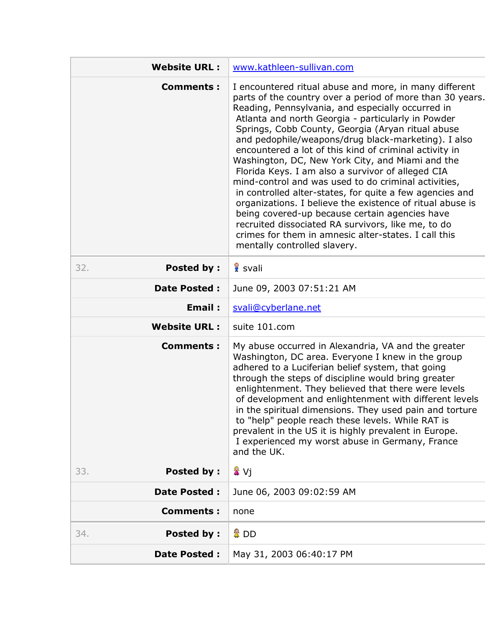| <b>Website URL:</b>      | www.kathleen-sullivan.com                                                                                                                                                                                                                                                                                                                                                                                                                                                                                                                                                                                                                                                                                                                                                                                                                                                                      |
|--------------------------|------------------------------------------------------------------------------------------------------------------------------------------------------------------------------------------------------------------------------------------------------------------------------------------------------------------------------------------------------------------------------------------------------------------------------------------------------------------------------------------------------------------------------------------------------------------------------------------------------------------------------------------------------------------------------------------------------------------------------------------------------------------------------------------------------------------------------------------------------------------------------------------------|
| <b>Comments:</b>         | I encountered ritual abuse and more, in many different<br>parts of the country over a period of more than 30 years.<br>Reading, Pennsylvania, and especially occurred in<br>Atlanta and north Georgia - particularly in Powder<br>Springs, Cobb County, Georgia (Aryan ritual abuse<br>and pedophile/weapons/drug black-marketing). I also<br>encountered a lot of this kind of criminal activity in<br>Washington, DC, New York City, and Miami and the<br>Florida Keys. I am also a survivor of alleged CIA<br>mind-control and was used to do criminal activities,<br>in controlled alter-states, for quite a few agencies and<br>organizations. I believe the existence of ritual abuse is<br>being covered-up because certain agencies have<br>recruited dissociated RA survivors, like me, to do<br>crimes for them in amnesic alter-states. I call this<br>mentally controlled slavery. |
| <b>Posted by:</b><br>32. | 8 svali                                                                                                                                                                                                                                                                                                                                                                                                                                                                                                                                                                                                                                                                                                                                                                                                                                                                                        |
| <b>Date Posted:</b>      | June 09, 2003 07:51:21 AM                                                                                                                                                                                                                                                                                                                                                                                                                                                                                                                                                                                                                                                                                                                                                                                                                                                                      |
| Email:                   | svali@cyberlane.net                                                                                                                                                                                                                                                                                                                                                                                                                                                                                                                                                                                                                                                                                                                                                                                                                                                                            |
| <b>Website URL:</b>      | suite 101.com                                                                                                                                                                                                                                                                                                                                                                                                                                                                                                                                                                                                                                                                                                                                                                                                                                                                                  |
| <b>Comments:</b>         | My abuse occurred in Alexandria, VA and the greater<br>Washington, DC area. Everyone I knew in the group<br>adhered to a Luciferian belief system, that going<br>through the steps of discipline would bring greater<br>enlightenment. They believed that there were levels<br>of development and enlightenment with different levels<br>in the spiritual dimensions. They used pain and torture<br>to "help" people reach these levels. While RAT is<br>prevalent in the US it is highly prevalent in Europe.<br>I experienced my worst abuse in Germany, France<br>and the UK.                                                                                                                                                                                                                                                                                                               |
| <b>Posted by:</b><br>33. | 鞏 Vi                                                                                                                                                                                                                                                                                                                                                                                                                                                                                                                                                                                                                                                                                                                                                                                                                                                                                           |
| Date Posted :            | June 06, 2003 09:02:59 AM                                                                                                                                                                                                                                                                                                                                                                                                                                                                                                                                                                                                                                                                                                                                                                                                                                                                      |
| <b>Comments:</b>         | none                                                                                                                                                                                                                                                                                                                                                                                                                                                                                                                                                                                                                                                                                                                                                                                                                                                                                           |
| <b>Posted by:</b><br>34. | 魯 DD                                                                                                                                                                                                                                                                                                                                                                                                                                                                                                                                                                                                                                                                                                                                                                                                                                                                                           |
| Date Posted :            | May 31, 2003 06:40:17 PM                                                                                                                                                                                                                                                                                                                                                                                                                                                                                                                                                                                                                                                                                                                                                                                                                                                                       |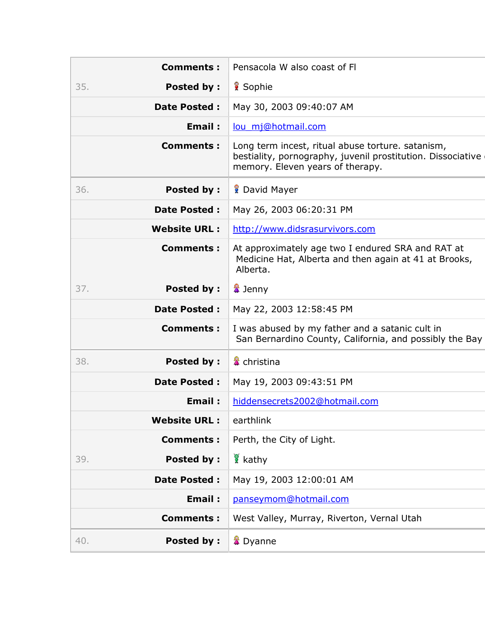|     | <b>Comments:</b>    | Pensacola W also coast of FI                                                                                                                         |
|-----|---------------------|------------------------------------------------------------------------------------------------------------------------------------------------------|
| 35. | <b>Posted by:</b>   | 8 Sophie                                                                                                                                             |
|     | <b>Date Posted:</b> | May 30, 2003 09:40:07 AM                                                                                                                             |
|     | Email:              | lou_mj@hotmail.com                                                                                                                                   |
|     | <b>Comments:</b>    | Long term incest, ritual abuse torture. satanism,<br>bestiality, pornography, juvenil prostitution. Dissociative<br>memory. Eleven years of therapy. |
| 36. | <b>Posted by:</b>   | <b>P</b> David Mayer                                                                                                                                 |
|     | <b>Date Posted:</b> | May 26, 2003 06:20:31 PM                                                                                                                             |
|     | <b>Website URL:</b> | http://www.didsrasurvivors.com                                                                                                                       |
|     | <b>Comments:</b>    | At approximately age two I endured SRA and RAT at<br>Medicine Hat, Alberta and then again at 41 at Brooks,<br>Alberta.                               |
| 37. | <b>Posted by:</b>   | <b>■</b> Jenny                                                                                                                                       |
|     | <b>Date Posted:</b> | May 22, 2003 12:58:45 PM                                                                                                                             |
|     | <b>Comments:</b>    | I was abused by my father and a satanic cult in<br>San Bernardino County, California, and possibly the Bay                                           |
| 38. | <b>Posted by:</b>   | <b>&amp;</b> christina                                                                                                                               |
|     | <b>Date Posted:</b> | May 19, 2003 09:43:51 PM                                                                                                                             |
|     | <b>Email:</b>       | hiddensecrets2002@hotmail.com                                                                                                                        |
|     | <b>Website URL:</b> | earthlink                                                                                                                                            |
|     | <b>Comments:</b>    | Perth, the City of Light.                                                                                                                            |
| 39. | <b>Posted by:</b>   | kathy                                                                                                                                                |
|     | <b>Date Posted:</b> | May 19, 2003 12:00:01 AM                                                                                                                             |
|     | <b>Email:</b>       | panseymom@hotmail.com                                                                                                                                |
|     | <b>Comments:</b>    | West Valley, Murray, Riverton, Vernal Utah                                                                                                           |
| 40. | <b>Posted by:</b>   | <b>A</b> Dyanne                                                                                                                                      |
|     |                     |                                                                                                                                                      |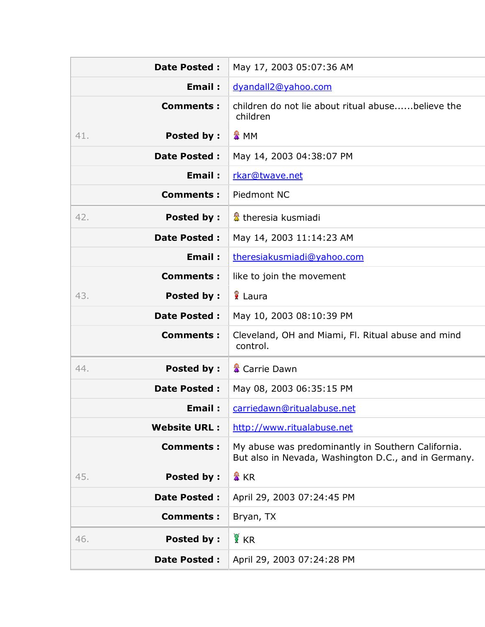| <b>Date Posted:</b>      | May 17, 2003 05:07:36 AM                                                                                   |
|--------------------------|------------------------------------------------------------------------------------------------------------|
| Email:                   | dyandall2@yahoo.com                                                                                        |
| <b>Comments:</b>         | children do not lie about ritual abusebelieve the<br>children                                              |
| <b>Posted by:</b><br>41. | & MM                                                                                                       |
| <b>Date Posted:</b>      | May 14, 2003 04:38:07 PM                                                                                   |
| Email:                   | rkar@twave.net                                                                                             |
| <b>Comments:</b>         | Piedmont NC                                                                                                |
| 42.<br><b>Posted by:</b> | & theresia kusmiadi                                                                                        |
| <b>Date Posted:</b>      | May 14, 2003 11:14:23 AM                                                                                   |
| Email:                   | theresiakusmiadi@yahoo.com                                                                                 |
| <b>Comments:</b>         | like to join the movement                                                                                  |
| <b>Posted by:</b><br>43. | laura                                                                                                      |
| <b>Date Posted:</b>      | May 10, 2003 08:10:39 PM                                                                                   |
| <b>Comments:</b>         | Cleveland, OH and Miami, Fl. Ritual abuse and mind<br>control.                                             |
| 44.<br><b>Posted by:</b> | <b>■</b> Carrie Dawn                                                                                       |
| <b>Date Posted:</b>      | May 08, 2003 06:35:15 PM                                                                                   |
| Email:                   | carriedawn@ritualabuse.net                                                                                 |
| <b>Website URL:</b>      | http://www.ritualabuse.net                                                                                 |
| <b>Comments:</b>         | My abuse was predominantly in Southern California.<br>But also in Nevada, Washington D.C., and in Germany. |
| <b>Posted by:</b><br>45. | 魯 KR                                                                                                       |
| <b>Date Posted:</b>      | April 29, 2003 07:24:45 PM                                                                                 |
| <b>Comments:</b>         | Bryan, TX                                                                                                  |
| <b>Posted by:</b><br>46. | <b>E</b> KR                                                                                                |
| Date Posted :            | April 29, 2003 07:24:28 PM                                                                                 |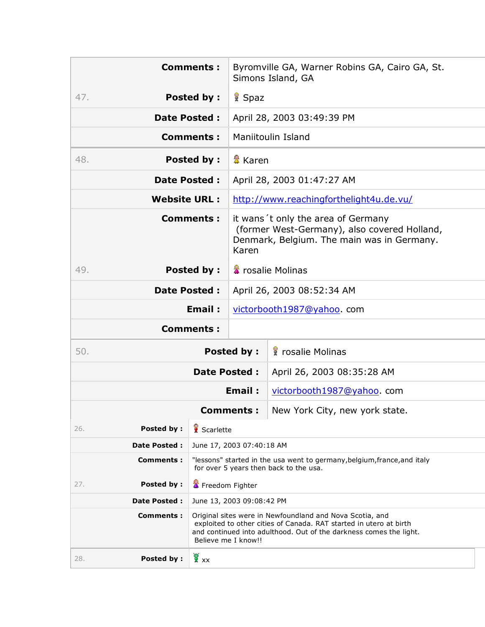|                          | <b>Comments:</b>                                                                                                                                                                                                            |                                                                                                                                            | Byromville GA, Warner Robins GA, Cairo GA, St.<br>Simons Island, GA |  |
|--------------------------|-----------------------------------------------------------------------------------------------------------------------------------------------------------------------------------------------------------------------------|--------------------------------------------------------------------------------------------------------------------------------------------|---------------------------------------------------------------------|--|
| 47.                      | <b>Posted by:</b>                                                                                                                                                                                                           | <b>R</b> Spaz                                                                                                                              |                                                                     |  |
|                          | <b>Date Posted:</b>                                                                                                                                                                                                         |                                                                                                                                            | April 28, 2003 03:49:39 PM                                          |  |
|                          | <b>Comments:</b>                                                                                                                                                                                                            |                                                                                                                                            | Maniitoulin Island                                                  |  |
| 48.                      | <b>Posted by:</b>                                                                                                                                                                                                           | <sup>量</sup> Karen                                                                                                                         |                                                                     |  |
|                          | <b>Date Posted:</b>                                                                                                                                                                                                         |                                                                                                                                            | April 28, 2003 01:47:27 AM                                          |  |
| <b>Website URL:</b>      |                                                                                                                                                                                                                             |                                                                                                                                            | http://www.reachingforthelight4u.de.vu/                             |  |
| <b>Comments:</b>         |                                                                                                                                                                                                                             | it wans 't only the area of Germany<br>(former West-Germany), also covered Holland,<br>Denmark, Belgium. The main was in Germany.<br>Karen |                                                                     |  |
| 49.                      | <b>Posted by:</b>                                                                                                                                                                                                           |                                                                                                                                            | <b>A</b> rosalie Molinas                                            |  |
|                          | <b>Date Posted:</b>                                                                                                                                                                                                         | April 26, 2003 08:52:34 AM                                                                                                                 |                                                                     |  |
| Email:                   |                                                                                                                                                                                                                             | victorbooth1987@yahoo.com                                                                                                                  |                                                                     |  |
| <b>Comments:</b>         |                                                                                                                                                                                                                             |                                                                                                                                            |                                                                     |  |
| 50.<br><b>Posted by:</b> |                                                                                                                                                                                                                             |                                                                                                                                            | <b>f</b> rosalie Molinas                                            |  |
|                          | <b>Date Posted:</b>                                                                                                                                                                                                         |                                                                                                                                            | April 26, 2003 08:35:28 AM                                          |  |
|                          |                                                                                                                                                                                                                             | Email:                                                                                                                                     | victorbooth1987@yahoo.com                                           |  |
|                          | <b>Comments:</b>                                                                                                                                                                                                            |                                                                                                                                            | New York City, new york state.                                      |  |
| Posted by:<br>26.        | Scarlette                                                                                                                                                                                                                   |                                                                                                                                            |                                                                     |  |
| <b>Date Posted:</b>      | June 17, 2003 07:40:18 AM                                                                                                                                                                                                   |                                                                                                                                            |                                                                     |  |
| <b>Comments:</b>         | "lessons" started in the usa went to germany, belgium, france, and italy<br>for over 5 years then back to the usa.                                                                                                          |                                                                                                                                            |                                                                     |  |
| Posted by:<br>27.        | Freedom Fighter                                                                                                                                                                                                             |                                                                                                                                            |                                                                     |  |
| <b>Date Posted:</b>      | June 13, 2003 09:08:42 PM                                                                                                                                                                                                   |                                                                                                                                            |                                                                     |  |
| <b>Comments:</b>         | Original sites were in Newfoundland and Nova Scotia, and<br>exploited to other cities of Canada. RAT started in utero at birth<br>and continued into adulthood. Out of the darkness comes the light.<br>Believe me I know!! |                                                                                                                                            |                                                                     |  |
| <b>Posted by:</b><br>28. | $\frac{1}{2}$ xx                                                                                                                                                                                                            |                                                                                                                                            |                                                                     |  |
|                          |                                                                                                                                                                                                                             |                                                                                                                                            |                                                                     |  |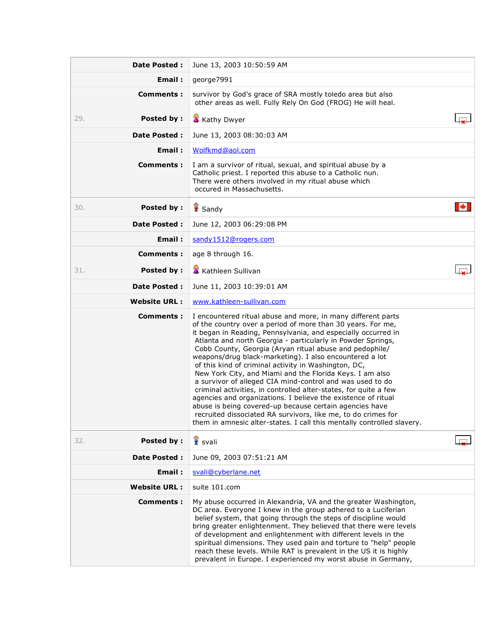| Date Posted :            | June 13, 2003 10:50:59 AM                                                                                                                                                                                                                                                                                                                                                                                                                                                                                                                                                                                                                                                                                                                                                                                                                                                                                     |   |
|--------------------------|---------------------------------------------------------------------------------------------------------------------------------------------------------------------------------------------------------------------------------------------------------------------------------------------------------------------------------------------------------------------------------------------------------------------------------------------------------------------------------------------------------------------------------------------------------------------------------------------------------------------------------------------------------------------------------------------------------------------------------------------------------------------------------------------------------------------------------------------------------------------------------------------------------------|---|
| Email:                   | george7991                                                                                                                                                                                                                                                                                                                                                                                                                                                                                                                                                                                                                                                                                                                                                                                                                                                                                                    |   |
| <b>Comments:</b>         | survivor by God's grace of SRA mostly toledo area but also<br>other areas as well. Fully Rely On God (FROG) He will heal.                                                                                                                                                                                                                                                                                                                                                                                                                                                                                                                                                                                                                                                                                                                                                                                     |   |
| Posted by:<br>29.        | <b>K</b> Kathy Dwyer                                                                                                                                                                                                                                                                                                                                                                                                                                                                                                                                                                                                                                                                                                                                                                                                                                                                                          |   |
| <b>Date Posted:</b>      | June 13, 2003 08:30:03 AM                                                                                                                                                                                                                                                                                                                                                                                                                                                                                                                                                                                                                                                                                                                                                                                                                                                                                     |   |
| Email:                   | Wolfkmd@aol.com                                                                                                                                                                                                                                                                                                                                                                                                                                                                                                                                                                                                                                                                                                                                                                                                                                                                                               |   |
| <b>Comments:</b>         | I am a survivor of ritual, sexual, and spiritual abuse by a<br>Catholic priest. I reported this abuse to a Catholic nun.<br>There were others involved in my ritual abuse which<br>occured in Massachusetts.                                                                                                                                                                                                                                                                                                                                                                                                                                                                                                                                                                                                                                                                                                  |   |
| <b>Posted by:</b><br>30. | Sandy                                                                                                                                                                                                                                                                                                                                                                                                                                                                                                                                                                                                                                                                                                                                                                                                                                                                                                         | м |
| <b>Date Posted:</b>      | June 12, 2003 06:29:08 PM                                                                                                                                                                                                                                                                                                                                                                                                                                                                                                                                                                                                                                                                                                                                                                                                                                                                                     |   |
| Email:                   | sandy1512@rogers.com                                                                                                                                                                                                                                                                                                                                                                                                                                                                                                                                                                                                                                                                                                                                                                                                                                                                                          |   |
| <b>Comments:</b>         | age 8 through 16.                                                                                                                                                                                                                                                                                                                                                                                                                                                                                                                                                                                                                                                                                                                                                                                                                                                                                             |   |
| Posted by:<br>31.        | Kathleen Sullivan                                                                                                                                                                                                                                                                                                                                                                                                                                                                                                                                                                                                                                                                                                                                                                                                                                                                                             |   |
| <b>Date Posted:</b>      | June 11, 2003 10:39:01 AM                                                                                                                                                                                                                                                                                                                                                                                                                                                                                                                                                                                                                                                                                                                                                                                                                                                                                     |   |
| <b>Website URL:</b>      | www.kathleen-sullivan.com                                                                                                                                                                                                                                                                                                                                                                                                                                                                                                                                                                                                                                                                                                                                                                                                                                                                                     |   |
| Comments :               | I encountered ritual abuse and more, in many different parts<br>of the country over a period of more than 30 years. For me,<br>it began in Reading, Pennsylvania, and especially occurred in<br>Atlanta and north Georgia - particularly in Powder Springs,<br>Cobb County, Georgia (Aryan ritual abuse and pedophile/<br>weapons/drug black-marketing). I also encountered a lot<br>of this kind of criminal activity in Washington, DC,<br>New York City, and Miami and the Florida Keys. I am also<br>a survivor of alleged CIA mind-control and was used to do<br>criminal activities, in controlled alter-states, for quite a few<br>agencies and organizations. I believe the existence of ritual<br>abuse is being covered-up because certain agencies have<br>recruited dissociated RA survivors, like me, to do crimes for<br>them in amnesic alter-states. I call this mentally controlled slavery. |   |
| <b>Posted by:</b><br>32. | <b>R</b> svali                                                                                                                                                                                                                                                                                                                                                                                                                                                                                                                                                                                                                                                                                                                                                                                                                                                                                                |   |
| <b>Date Posted:</b>      | June 09, 2003 07:51:21 AM                                                                                                                                                                                                                                                                                                                                                                                                                                                                                                                                                                                                                                                                                                                                                                                                                                                                                     |   |
| Email:                   | svali@cyberlane.net                                                                                                                                                                                                                                                                                                                                                                                                                                                                                                                                                                                                                                                                                                                                                                                                                                                                                           |   |
| <b>Website URL:</b>      | suite 101.com                                                                                                                                                                                                                                                                                                                                                                                                                                                                                                                                                                                                                                                                                                                                                                                                                                                                                                 |   |
| <b>Comments:</b>         | My abuse occurred in Alexandria, VA and the greater Washington,<br>DC area. Everyone I knew in the group adhered to a Luciferian<br>belief system, that going through the steps of discipline would<br>bring greater enlightenment. They believed that there were levels<br>of development and enlightenment with different levels in the<br>spiritual dimensions. They used pain and torture to "help" people<br>reach these levels. While RAT is prevalent in the US it is highly<br>prevalent in Europe. I experienced my worst abuse in Germany,                                                                                                                                                                                                                                                                                                                                                          |   |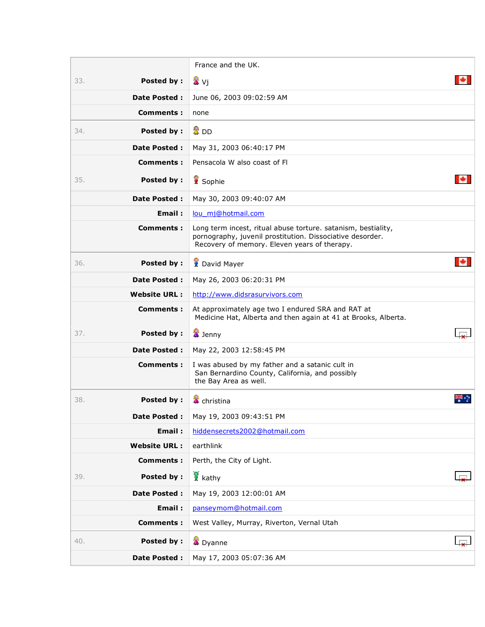|     |                     | France and the UK.                                                                                                                                                         |  |
|-----|---------------------|----------------------------------------------------------------------------------------------------------------------------------------------------------------------------|--|
| 33. | Posted by:          | 发 Vj                                                                                                                                                                       |  |
|     | <b>Date Posted:</b> | June 06, 2003 09:02:59 AM                                                                                                                                                  |  |
|     | Comments:           | none                                                                                                                                                                       |  |
| 34. | <b>Posted by:</b>   | 魯 DD                                                                                                                                                                       |  |
|     | Date Posted :       | May 31, 2003 06:40:17 PM                                                                                                                                                   |  |
|     | Comments:           | Pensacola W also coast of Fl                                                                                                                                               |  |
| 35. | <b>Posted by:</b>   | Sophie                                                                                                                                                                     |  |
|     | <b>Date Posted:</b> | May 30, 2003 09:40:07 AM                                                                                                                                                   |  |
|     | Email:              | lou mj@hotmail.com                                                                                                                                                         |  |
|     | Comments:           | Long term incest, ritual abuse torture. satanism, bestiality,<br>pornography, juvenil prostitution. Dissociative desorder.<br>Recovery of memory. Eleven years of therapy. |  |
| 36. | <b>Posted by:</b>   | <b>R</b> David Mayer                                                                                                                                                       |  |
|     | <b>Date Posted:</b> | May 26, 2003 06:20:31 PM                                                                                                                                                   |  |
|     | <b>Website URL:</b> | http://www.didsrasurvivors.com                                                                                                                                             |  |
|     | Comments:           | At approximately age two I endured SRA and RAT at<br>Medicine Hat, Alberta and then again at 41 at Brooks, Alberta.                                                        |  |
| 37. | Posted by:          | <b>X</b> Jenny                                                                                                                                                             |  |
|     | <b>Date Posted:</b> | May 22, 2003 12:58:45 PM                                                                                                                                                   |  |
|     | Comments:           | I was abused by my father and a satanic cult in<br>San Bernardino County, California, and possibly<br>the Bay Area as well.                                                |  |
| 38. | <b>Posted by:</b>   | <b>當</b> christina                                                                                                                                                         |  |
|     | <b>Date Posted:</b> | May 19, 2003 09:43:51 PM                                                                                                                                                   |  |
|     | Email:              | hiddensecrets2002@hotmail.com                                                                                                                                              |  |
|     | <b>Website URL:</b> | earthlink                                                                                                                                                                  |  |
|     | <b>Comments:</b>    | Perth, the City of Light.                                                                                                                                                  |  |
| 39. | <b>Posted by:</b>   | $\frac{1}{2}$ kathy                                                                                                                                                        |  |
|     | <b>Date Posted:</b> | May 19, 2003 12:00:01 AM                                                                                                                                                   |  |
|     | <b>Email:</b>       | panseymom@hotmail.com                                                                                                                                                      |  |
|     | <b>Comments:</b>    | West Valley, Murray, Riverton, Vernal Utah                                                                                                                                 |  |
| 40. | <b>Posted by:</b>   | <b>A</b> Dyanne                                                                                                                                                            |  |
|     | <b>Date Posted:</b> | May 17, 2003 05:07:36 AM                                                                                                                                                   |  |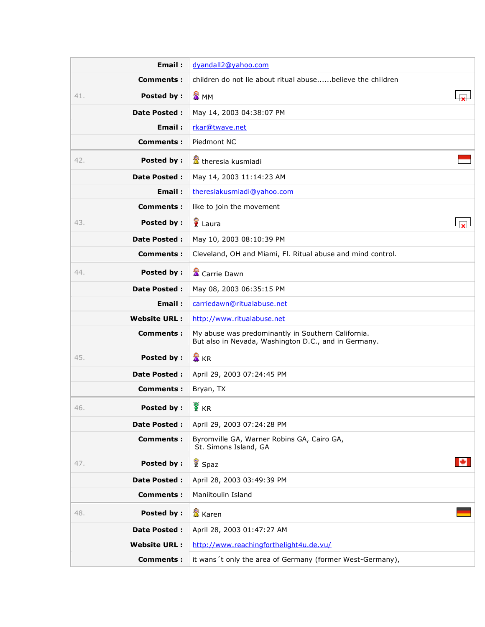|     | Email:              | dyandall2@yahoo.com                                                                                        |  |
|-----|---------------------|------------------------------------------------------------------------------------------------------------|--|
|     | Comments:           | children do not lie about ritual abusebelieve the children                                                 |  |
| 41. | <b>Posted by:</b>   | 盘 MM                                                                                                       |  |
|     | <b>Date Posted:</b> | May 14, 2003 04:38:07 PM                                                                                   |  |
|     | Email:              | rkar@twave.net                                                                                             |  |
|     | <b>Comments:</b>    | Piedmont NC                                                                                                |  |
| 42. | <b>Posted by:</b>   | theresia kusmiadi                                                                                          |  |
|     | <b>Date Posted:</b> | May 14, 2003 11:14:23 AM                                                                                   |  |
|     | Email:              | theresiakusmiadi@yahoo.com                                                                                 |  |
|     | Comments:           | like to join the movement                                                                                  |  |
| 43. | Posted by:          | Laura                                                                                                      |  |
|     | Date Posted :       | May 10, 2003 08:10:39 PM                                                                                   |  |
|     | Comments:           | Cleveland, OH and Miami, Fl. Ritual abuse and mind control.                                                |  |
| 44. | Posted by:          | <b>當</b> Carrie Dawn                                                                                       |  |
|     | Date Posted :       | May 08, 2003 06:35:15 PM                                                                                   |  |
|     | Email:              | carriedawn@ritualabuse.net                                                                                 |  |
|     | <b>Website URL:</b> | http://www.ritualabuse.net                                                                                 |  |
|     | <b>Comments:</b>    | My abuse was predominantly in Southern California.<br>But also in Nevada, Washington D.C., and in Germany. |  |
| 45. | Posted by:          | <b>■</b> KR                                                                                                |  |
|     | <b>Date Posted:</b> | April 29, 2003 07:24:45 PM                                                                                 |  |
|     | <b>Comments:</b>    | Bryan, TX                                                                                                  |  |
| 46. | Posted by:          | <b>R</b> KR                                                                                                |  |
|     | Date Posted :       | April 29, 2003 07:24:28 PM                                                                                 |  |
|     | <b>Comments:</b>    | Byromville GA, Warner Robins GA, Cairo GA,<br>St. Simons Island, GA                                        |  |
| 47. | <b>Posted by:</b>   | <b>K</b> Spaz                                                                                              |  |
|     | <b>Date Posted:</b> | April 28, 2003 03:49:39 PM                                                                                 |  |
|     | <b>Comments:</b>    | Maniitoulin Island                                                                                         |  |
| 48. | <b>Posted by:</b>   | 盘 Karen                                                                                                    |  |
|     | Date Posted :       | April 28, 2003 01:47:27 AM                                                                                 |  |
|     | <b>Website URL:</b> | http://www.reachingforthelight4u.de.vu/                                                                    |  |
|     | <b>Comments:</b>    | it wans 't only the area of Germany (former West-Germany),                                                 |  |
|     |                     |                                                                                                            |  |